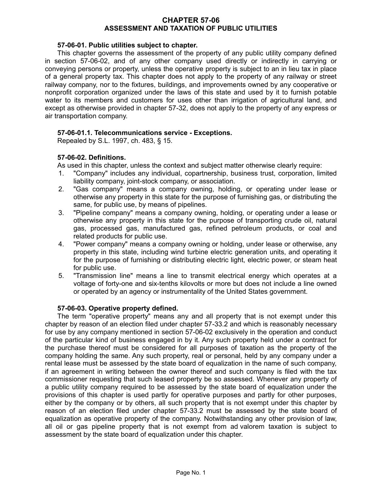### **CHAPTER 57-06 ASSESSMENT AND TAXATION OF PUBLIC UTILITIES**

### **57-06-01. Public utilities subject to chapter.**

This chapter governs the assessment of the property of any public utility company defined in section 57-06-02, and of any other company used directly or indirectly in carrying or conveying persons or property, unless the operative property is subject to an in lieu tax in place of a general property tax. This chapter does not apply to the property of any railway or street railway company, nor to the fixtures, buildings, and improvements owned by any cooperative or nonprofit corporation organized under the laws of this state and used by it to furnish potable water to its members and customers for uses other than irrigation of agricultural land, and except as otherwise provided in chapter 57-32, does not apply to the property of any express or air transportation company.

## **57-06-01.1. Telecommunications service - Exceptions.**

Repealed by S.L. 1997, ch. 483, § 15.

## **57-06-02. Definitions.**

As used in this chapter, unless the context and subject matter otherwise clearly require:

- 1. "Company" includes any individual, copartnership, business trust, corporation, limited liability company, joint-stock company, or association.
- 2. "Gas company" means a company owning, holding, or operating under lease or otherwise any property in this state for the purpose of furnishing gas, or distributing the same, for public use, by means of pipelines.
- 3. "Pipeline company" means a company owning, holding, or operating under a lease or otherwise any property in this state for the purpose of transporting crude oil, natural gas, processed gas, manufactured gas, refined petroleum products, or coal and related products for public use.
- 4. "Power company" means a company owning or holding, under lease or otherwise, any property in this state, including wind turbine electric generation units, and operating it for the purpose of furnishing or distributing electric light, electric power, or steam heat for public use.
- 5. "Transmission line" means a line to transmit electrical energy which operates at a voltage of forty-one and six-tenths kilovolts or more but does not include a line owned or operated by an agency or instrumentality of the United States government.

#### **57-06-03. Operative property defined.**

The term "operative property" means any and all property that is not exempt under this chapter by reason of an election filed under chapter 57-33.2 and which is reasonably necessary for use by any company mentioned in section 57-06-02 exclusively in the operation and conduct of the particular kind of business engaged in by it. Any such property held under a contract for the purchase thereof must be considered for all purposes of taxation as the property of the company holding the same. Any such property, real or personal, held by any company under a rental lease must be assessed by the state board of equalization in the name of such company, if an agreement in writing between the owner thereof and such company is filed with the tax commissioner requesting that such leased property be so assessed. Whenever any property of a public utility company required to be assessed by the state board of equalization under the provisions of this chapter is used partly for operative purposes and partly for other purposes, either by the company or by others, all such property that is not exempt under this chapter by reason of an election filed under chapter 57-33.2 must be assessed by the state board of equalization as operative property of the company. Notwithstanding any other provision of law, all oil or gas pipeline property that is not exempt from ad valorem taxation is subject to assessment by the state board of equalization under this chapter.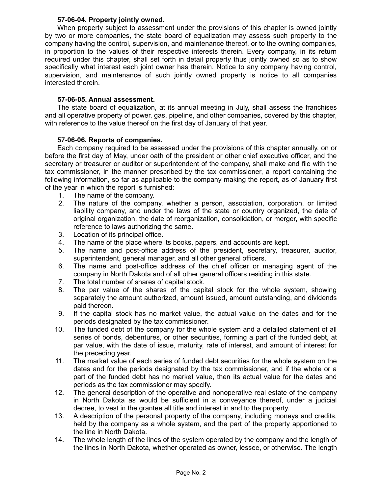## **57-06-04. Property jointly owned.**

When property subject to assessment under the provisions of this chapter is owned jointly by two or more companies, the state board of equalization may assess such property to the company having the control, supervision, and maintenance thereof, or to the owning companies, in proportion to the values of their respective interests therein. Every company, in its return required under this chapter, shall set forth in detail property thus jointly owned so as to show specifically what interest each joint owner has therein. Notice to any company having control, supervision, and maintenance of such jointly owned property is notice to all companies interested therein.

## **57-06-05. Annual assessment.**

The state board of equalization, at its annual meeting in July, shall assess the franchises and all operative property of power, gas, pipeline, and other companies, covered by this chapter, with reference to the value thereof on the first day of January of that year.

## **57-06-06. Reports of companies.**

Each company required to be assessed under the provisions of this chapter annually, on or before the first day of May, under oath of the president or other chief executive officer, and the secretary or treasurer or auditor or superintendent of the company, shall make and file with the tax commissioner, in the manner prescribed by the tax commissioner, a report containing the following information, so far as applicable to the company making the report, as of January first of the year in which the report is furnished:

- 1. The name of the company.
- 2. The nature of the company, whether a person, association, corporation, or limited liability company, and under the laws of the state or country organized, the date of original organization, the date of reorganization, consolidation, or merger, with specific reference to laws authorizing the same.
- 3. Location of its principal office.
- 4. The name of the place where its books, papers, and accounts are kept.
- 5. The name and post-office address of the president, secretary, treasurer, auditor, superintendent, general manager, and all other general officers.
- 6. The name and post-office address of the chief officer or managing agent of the company in North Dakota and of all other general officers residing in this state.
- 7. The total number of shares of capital stock.
- 8. The par value of the shares of the capital stock for the whole system, showing separately the amount authorized, amount issued, amount outstanding, and dividends paid thereon.
- 9. If the capital stock has no market value, the actual value on the dates and for the periods designated by the tax commissioner.
- 10. The funded debt of the company for the whole system and a detailed statement of all series of bonds, debentures, or other securities, forming a part of the funded debt, at par value, with the date of issue, maturity, rate of interest, and amount of interest for the preceding year.
- 11. The market value of each series of funded debt securities for the whole system on the dates and for the periods designated by the tax commissioner, and if the whole or a part of the funded debt has no market value, then its actual value for the dates and periods as the tax commissioner may specify.
- 12. The general description of the operative and nonoperative real estate of the company in North Dakota as would be sufficient in a conveyance thereof, under a judicial decree, to vest in the grantee all title and interest in and to the property.
- 13. A description of the personal property of the company, including moneys and credits, held by the company as a whole system, and the part of the property apportioned to the line in North Dakota.
- 14. The whole length of the lines of the system operated by the company and the length of the lines in North Dakota, whether operated as owner, lessee, or otherwise. The length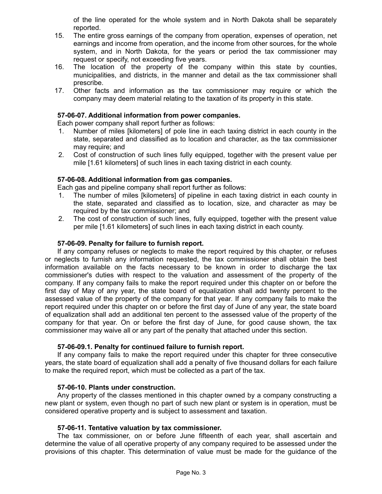of the line operated for the whole system and in North Dakota shall be separately reported.

- 15. The entire gross earnings of the company from operation, expenses of operation, net earnings and income from operation, and the income from other sources, for the whole system, and in North Dakota, for the years or period the tax commissioner may request or specify, not exceeding five years.
- 16. The location of the property of the company within this state by counties, municipalities, and districts, in the manner and detail as the tax commissioner shall prescribe.
- 17. Other facts and information as the tax commissioner may require or which the company may deem material relating to the taxation of its property in this state.

#### **57-06-07. Additional information from power companies.**

Each power company shall report further as follows:

- 1. Number of miles [kilometers] of pole line in each taxing district in each county in the state, separated and classified as to location and character, as the tax commissioner may require; and
- 2. Cost of construction of such lines fully equipped, together with the present value per mile [1.61 kilometers] of such lines in each taxing district in each county.

## **57-06-08. Additional information from gas companies.**

Each gas and pipeline company shall report further as follows:

- 1. The number of miles [kilometers] of pipeline in each taxing district in each county in the state, separated and classified as to location, size, and character as may be required by the tax commissioner; and
- 2. The cost of construction of such lines, fully equipped, together with the present value per mile [1.61 kilometers] of such lines in each taxing district in each county.

### **57-06-09. Penalty for failure to furnish report.**

If any company refuses or neglects to make the report required by this chapter, or refuses or neglects to furnish any information requested, the tax commissioner shall obtain the best information available on the facts necessary to be known in order to discharge the tax commissioner's duties with respect to the valuation and assessment of the property of the company. If any company fails to make the report required under this chapter on or before the first day of May of any year, the state board of equalization shall add twenty percent to the assessed value of the property of the company for that year. If any company fails to make the report required under this chapter on or before the first day of June of any year, the state board of equalization shall add an additional ten percent to the assessed value of the property of the company for that year. On or before the first day of June, for good cause shown, the tax commissioner may waive all or any part of the penalty that attached under this section.

#### **57-06-09.1. Penalty for continued failure to furnish report.**

If any company fails to make the report required under this chapter for three consecutive years, the state board of equalization shall add a penalty of five thousand dollars for each failure to make the required report, which must be collected as a part of the tax.

#### **57-06-10. Plants under construction.**

Any property of the classes mentioned in this chapter owned by a company constructing a new plant or system, even though no part of such new plant or system is in operation, must be considered operative property and is subject to assessment and taxation.

#### **57-06-11. Tentative valuation by tax commissioner.**

The tax commissioner, on or before June fifteenth of each year, shall ascertain and determine the value of all operative property of any company required to be assessed under the provisions of this chapter. This determination of value must be made for the guidance of the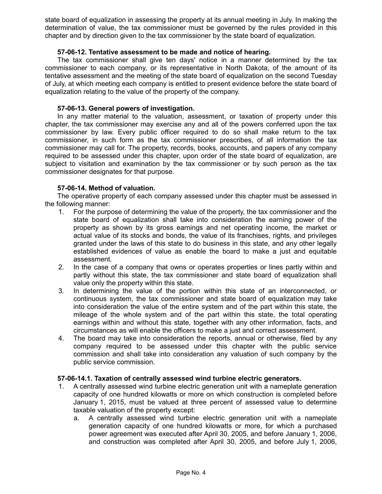state board of equalization in assessing the property at its annual meeting in July. In making the determination of value, the tax commissioner must be governed by the rules provided in this chapter and by direction given to the tax commissioner by the state board of equalization.

## **57-06-12. Tentative assessment to be made and notice of hearing.**

The tax commissioner shall give ten days' notice in a manner determined by the tax commissioner to each company, or its representative in North Dakota, of the amount of its tentative assessment and the meeting of the state board of equalization on the second Tuesday of July, at which meeting each company is entitled to present evidence before the state board of equalization relating to the value of the property of the company.

## **57-06-13. General powers of investigation.**

In any matter material to the valuation, assessment, or taxation of property under this chapter, the tax commissioner may exercise any and all of the powers conferred upon the tax commissioner by law. Every public officer required to do so shall make return to the tax commissioner, in such form as the tax commissioner prescribes, of all information the tax commissioner may call for. The property, records, books, accounts, and papers of any company required to be assessed under this chapter, upon order of the state board of equalization, are subject to visitation and examination by the tax commissioner or by such person as the tax commissioner designates for that purpose.

## **57-06-14. Method of valuation.**

The operative property of each company assessed under this chapter must be assessed in the following manner:

- 1. For the purpose of determining the value of the property, the tax commissioner and the state board of equalization shall take into consideration the earning power of the property as shown by its gross earnings and net operating income, the market or actual value of its stocks and bonds, the value of its franchises, rights, and privileges granted under the laws of this state to do business in this state, and any other legally established evidences of value as enable the board to make a just and equitable assessment.
- 2. In the case of a company that owns or operates properties or lines partly within and partly without this state, the tax commissioner and state board of equalization shall value only the property within this state.
- 3. In determining the value of the portion within this state of an interconnected, or continuous system, the tax commissioner and state board of equalization may take into consideration the value of the entire system and of the part within this state, the mileage of the whole system and of the part within this state, the total operating earnings within and without this state, together with any other information, facts, and circumstances as will enable the officers to make a just and correct assessment.
- 4. The board may take into consideration the reports, annual or otherwise, filed by any company required to be assessed under this chapter with the public service commission and shall take into consideration any valuation of such company by the public service commission.

#### **57-06-14.1. Taxation of centrally assessed wind turbine electric generators.**

- 1. A centrally assessed wind turbine electric generation unit with a nameplate generation capacity of one hundred kilowatts or more on which construction is completed before January 1, 2015, must be valued at three percent of assessed value to determine taxable valuation of the property except:
	- a. A centrally assessed wind turbine electric generation unit with a nameplate generation capacity of one hundred kilowatts or more, for which a purchased power agreement was executed after April 30, 2005, and before January 1, 2006, and construction was completed after April 30, 2005, and before July 1, 2006,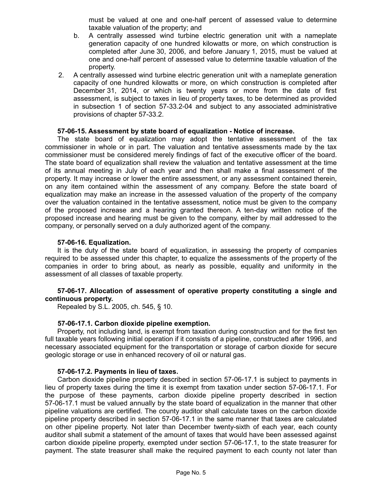must be valued at one and one-half percent of assessed value to determine taxable valuation of the property; and

- b. A centrally assessed wind turbine electric generation unit with a nameplate generation capacity of one hundred kilowatts or more, on which construction is completed after June 30, 2006, and before January 1, 2015, must be valued at one and one-half percent of assessed value to determine taxable valuation of the property.
- 2. A centrally assessed wind turbine electric generation unit with a nameplate generation capacity of one hundred kilowatts or more, on which construction is completed after December 31, 2014, or which is twenty years or more from the date of first assessment, is subject to taxes in lieu of property taxes, to be determined as provided in subsection 1 of section 57-33.2-04 and subject to any associated administrative provisions of chapter 57-33.2.

#### **57-06-15. Assessment by state board of equalization - Notice of increase.**

The state board of equalization may adopt the tentative assessment of the tax commissioner in whole or in part. The valuation and tentative assessments made by the tax commissioner must be considered merely findings of fact of the executive officer of the board. The state board of equalization shall review the valuation and tentative assessment at the time of its annual meeting in July of each year and then shall make a final assessment of the property. It may increase or lower the entire assessment, or any assessment contained therein, on any item contained within the assessment of any company. Before the state board of equalization may make an increase in the assessed valuation of the property of the company over the valuation contained in the tentative assessment, notice must be given to the company of the proposed increase and a hearing granted thereon. A ten-day written notice of the proposed increase and hearing must be given to the company, either by mail addressed to the company, or personally served on a duly authorized agent of the company.

#### **57-06-16. Equalization.**

It is the duty of the state board of equalization, in assessing the property of companies required to be assessed under this chapter, to equalize the assessments of the property of the companies in order to bring about, as nearly as possible, equality and uniformity in the assessment of all classes of taxable property.

## **57-06-17. Allocation of assessment of operative property constituting a single and continuous property.**

Repealed by S.L. 2005, ch. 545, § 10.

#### **57-06-17.1. Carbon dioxide pipeline exemption.**

Property, not including land, is exempt from taxation during construction and for the first ten full taxable years following initial operation if it consists of a pipeline, constructed after 1996, and necessary associated equipment for the transportation or storage of carbon dioxide for secure geologic storage or use in enhanced recovery of oil or natural gas.

#### **57-06-17.2. Payments in lieu of taxes.**

Carbon dioxide pipeline property described in section 57-06-17.1 is subject to payments in lieu of property taxes during the time it is exempt from taxation under section 57-06-17.1. For the purpose of these payments, carbon dioxide pipeline property described in section 57-06-17.1 must be valued annually by the state board of equalization in the manner that other pipeline valuations are certified. The county auditor shall calculate taxes on the carbon dioxide pipeline property described in section 57-06-17.1 in the same manner that taxes are calculated on other pipeline property. Not later than December twenty-sixth of each year, each county auditor shall submit a statement of the amount of taxes that would have been assessed against carbon dioxide pipeline property, exempted under section 57-06-17.1, to the state treasurer for payment. The state treasurer shall make the required payment to each county not later than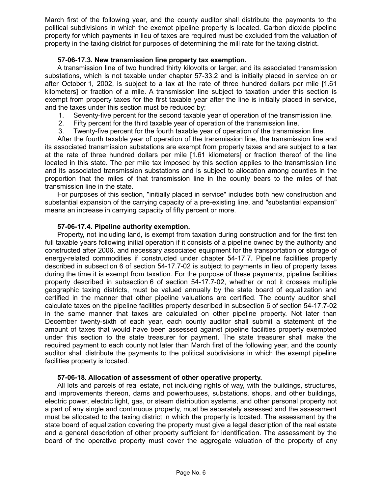March first of the following year, and the county auditor shall distribute the payments to the political subdivisions in which the exempt pipeline property is located. Carbon dioxide pipeline property for which payments in lieu of taxes are required must be excluded from the valuation of property in the taxing district for purposes of determining the mill rate for the taxing district.

# **57-06-17.3. New transmission line property tax exemption.**

A transmission line of two hundred thirty kilovolts or larger, and its associated transmission substations, which is not taxable under chapter 57-33.2 and is initially placed in service on or after October 1, 2002, is subject to a tax at the rate of three hundred dollars per mile [1.61 kilometers] or fraction of a mile. A transmission line subject to taxation under this section is exempt from property taxes for the first taxable year after the line is initially placed in service, and the taxes under this section must be reduced by:

- 1. Seventy-five percent for the second taxable year of operation of the transmission line.
- 2. Fifty percent for the third taxable year of operation of the transmission line.
- 3. Twenty-five percent for the fourth taxable year of operation of the transmission line.

After the fourth taxable year of operation of the transmission line, the transmission line and its associated transmission substations are exempt from property taxes and are subject to a tax at the rate of three hundred dollars per mile [1.61 kilometers] or fraction thereof of the line located in this state. The per mile tax imposed by this section applies to the transmission line and its associated transmission substations and is subject to allocation among counties in the proportion that the miles of that transmission line in the county bears to the miles of that transmission line in the state.

For purposes of this section, "initially placed in service" includes both new construction and substantial expansion of the carrying capacity of a pre-existing line, and "substantial expansion" means an increase in carrying capacity of fifty percent or more.

#### **57-06-17.4. Pipeline authority exemption.**

Property, not including land, is exempt from taxation during construction and for the first ten full taxable years following initial operation if it consists of a pipeline owned by the authority and constructed after 2006, and necessary associated equipment for the transportation or storage of energy-related commodities if constructed under chapter 54-17.7. Pipeline facilities property described in subsection 6 of section 54-17.7-02 is subject to payments in lieu of property taxes during the time it is exempt from taxation. For the purpose of these payments, pipeline facilities property described in subsection 6 of section 54-17.7-02, whether or not it crosses multiple geographic taxing districts, must be valued annually by the state board of equalization and certified in the manner that other pipeline valuations are certified. The county auditor shall calculate taxes on the pipeline facilities property described in subsection 6 of section 54-17.7-02 in the same manner that taxes are calculated on other pipeline property. Not later than December twenty-sixth of each year, each county auditor shall submit a statement of the amount of taxes that would have been assessed against pipeline facilities property exempted under this section to the state treasurer for payment. The state treasurer shall make the required payment to each county not later than March first of the following year, and the county auditor shall distribute the payments to the political subdivisions in which the exempt pipeline facilities property is located.

#### **57-06-18. Allocation of assessment of other operative property.**

All lots and parcels of real estate, not including rights of way, with the buildings, structures, and improvements thereon, dams and powerhouses, substations, shops, and other buildings, electric power, electric light, gas, or steam distribution systems, and other personal property not a part of any single and continuous property, must be separately assessed and the assessment must be allocated to the taxing district in which the property is located. The assessment by the state board of equalization covering the property must give a legal description of the real estate and a general description of other property sufficient for identification. The assessment by the board of the operative property must cover the aggregate valuation of the property of any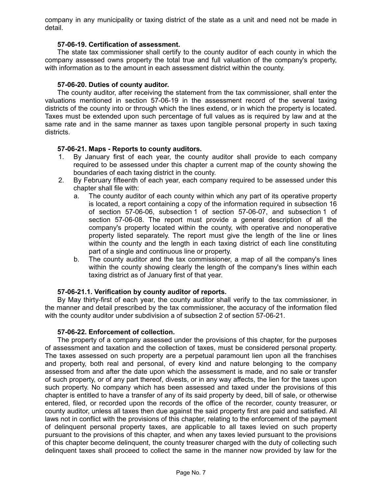company in any municipality or taxing district of the state as a unit and need not be made in detail.

### **57-06-19. Certification of assessment.**

The state tax commissioner shall certify to the county auditor of each county in which the company assessed owns property the total true and full valuation of the company's property, with information as to the amount in each assessment district within the county.

## **57-06-20. Duties of county auditor.**

The county auditor, after receiving the statement from the tax commissioner, shall enter the valuations mentioned in section 57-06-19 in the assessment record of the several taxing districts of the county into or through which the lines extend, or in which the property is located. Taxes must be extended upon such percentage of full values as is required by law and at the same rate and in the same manner as taxes upon tangible personal property in such taxing districts.

## **57-06-21. Maps - Reports to county auditors.**

- 1. By January first of each year, the county auditor shall provide to each company required to be assessed under this chapter a current map of the county showing the boundaries of each taxing district in the county.
- 2. By February fifteenth of each year, each company required to be assessed under this chapter shall file with:
	- a. The county auditor of each county within which any part of its operative property is located, a report containing a copy of the information required in subsection 16 of section 57-06-06, subsection 1 of section 57-06-07, and subsection 1 of section 57-06-08. The report must provide a general description of all the company's property located within the county, with operative and nonoperative property listed separately. The report must give the length of the line or lines within the county and the length in each taxing district of each line constituting part of a single and continuous line or property.
	- b. The county auditor and the tax commissioner, a map of all the company's lines within the county showing clearly the length of the company's lines within each taxing district as of January first of that year.

# **57-06-21.1. Verification by county auditor of reports.**

By May thirty-first of each year, the county auditor shall verify to the tax commissioner, in the manner and detail prescribed by the tax commissioner, the accuracy of the information filed with the county auditor under subdivision a of subsection 2 of section 57-06-21.

#### **57-06-22. Enforcement of collection.**

The property of a company assessed under the provisions of this chapter, for the purposes of assessment and taxation and the collection of taxes, must be considered personal property. The taxes assessed on such property are a perpetual paramount lien upon all the franchises and property, both real and personal, of every kind and nature belonging to the company assessed from and after the date upon which the assessment is made, and no sale or transfer of such property, or of any part thereof, divests, or in any way affects, the lien for the taxes upon such property. No company which has been assessed and taxed under the provisions of this chapter is entitled to have a transfer of any of its said property by deed, bill of sale, or otherwise entered, filed, or recorded upon the records of the office of the recorder, county treasurer, or county auditor, unless all taxes then due against the said property first are paid and satisfied. All laws not in conflict with the provisions of this chapter, relating to the enforcement of the payment of delinquent personal property taxes, are applicable to all taxes levied on such property pursuant to the provisions of this chapter, and when any taxes levied pursuant to the provisions of this chapter become delinquent, the county treasurer charged with the duty of collecting such delinquent taxes shall proceed to collect the same in the manner now provided by law for the